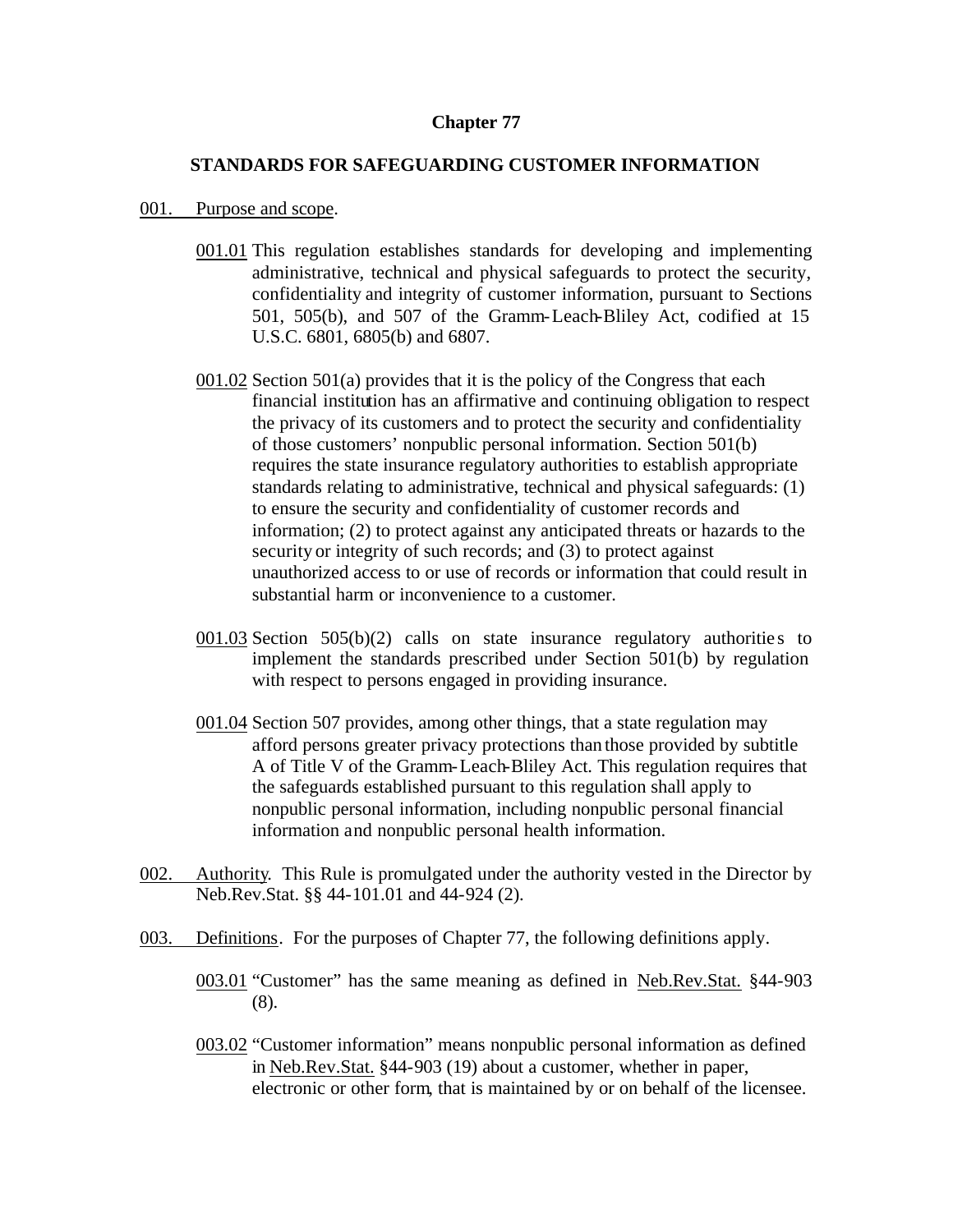## **Chapter 77**

## **STANDARDS FOR SAFEGUARDING CUSTOMER INFORMATION**

## 001. Purpose and scope.

- 001.01 This regulation establishes standards for developing and implementing administrative, technical and physical safeguards to protect the security, confidentiality and integrity of customer information, pursuant to Sections 501, 505(b), and 507 of the Gramm-Leach-Bliley Act, codified at 15 U.S.C. 6801, 6805(b) and 6807.
- 001.02 Section 501(a) provides that it is the policy of the Congress that each financial institution has an affirmative and continuing obligation to respect the privacy of its customers and to protect the security and confidentiality of those customers' nonpublic personal information. Section 501(b) requires the state insurance regulatory authorities to establish appropriate standards relating to administrative, technical and physical safeguards: (1) to ensure the security and confidentiality of customer records and information; (2) to protect against any anticipated threats or hazards to the security or integrity of such records; and (3) to protect against unauthorized access to or use of records or information that could result in substantial harm or inconvenience to a customer.
- 001.03 Section  $505(b)(2)$  calls on state insurance regulatory authorities to implement the standards prescribed under Section 501(b) by regulation with respect to persons engaged in providing insurance.
- 001.04 Section 507 provides, among other things, that a state regulation may afford persons greater privacy protections than those provided by subtitle A of Title V of the Gramm-Leach-Bliley Act. This regulation requires that the safeguards established pursuant to this regulation shall apply to nonpublic personal information, including nonpublic personal financial information and nonpublic personal health information.
- 002. Authority. This Rule is promulgated under the authority vested in the Director by Neb.Rev.Stat. §§ 44-101.01 and 44-924 (2).
- 003. Definitions. For the purposes of Chapter 77, the following definitions apply.
	- 003.01 "Customer" has the same meaning as defined in Neb.Rev.Stat. §44-903 (8).
	- 003.02 "Customer information" means nonpublic personal information as defined in Neb.Rev.Stat. §44-903 (19) about a customer, whether in paper, electronic or other form, that is maintained by or on behalf of the licensee.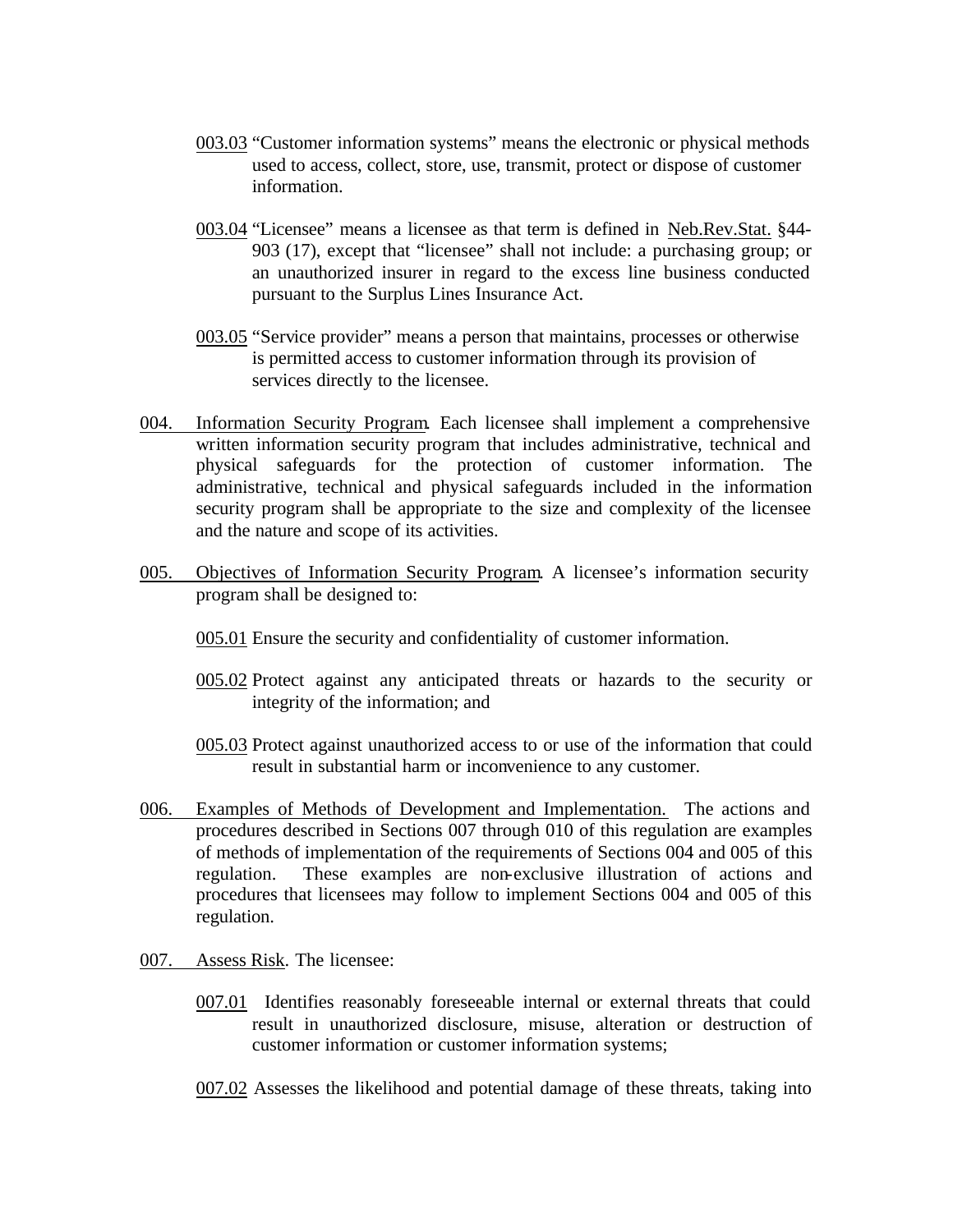- 003.03 "Customer information systems" means the electronic or physical methods used to access, collect, store, use, transmit, protect or dispose of customer information.
- 003.04 "Licensee" means a licensee as that term is defined in Neb.Rev.Stat. §44- 903 (17), except that "licensee" shall not include: a purchasing group; or an unauthorized insurer in regard to the excess line business conducted pursuant to the Surplus Lines Insurance Act.
- 003.05 "Service provider" means a person that maintains, processes or otherwise is permitted access to customer information through its provision of services directly to the licensee.
- 004. Information Security Program. Each licensee shall implement a comprehensive written information security program that includes administrative, technical and physical safeguards for the protection of customer information. The administrative, technical and physical safeguards included in the information security program shall be appropriate to the size and complexity of the licensee and the nature and scope of its activities.
- 005. Objectives of Information Security Program. A licensee's information security program shall be designed to:
	- 005.01 Ensure the security and confidentiality of customer information.
	- 005.02 Protect against any anticipated threats or hazards to the security or integrity of the information; and
	- 005.03 Protect against unauthorized access to or use of the information that could result in substantial harm or inconvenience to any customer.
- 006. Examples of Methods of Development and Implementation. The actions and procedures described in Sections 007 through 010 of this regulation are examples of methods of implementation of the requirements of Sections 004 and 005 of this regulation. These examples are non-exclusive illustration of actions and procedures that licensees may follow to implement Sections 004 and 005 of this regulation.
- 007. Assess Risk. The licensee:
	- 007.01 Identifies reasonably foreseeable internal or external threats that could result in unauthorized disclosure, misuse, alteration or destruction of customer information or customer information systems;
	- 007.02 Assesses the likelihood and potential damage of these threats, taking into